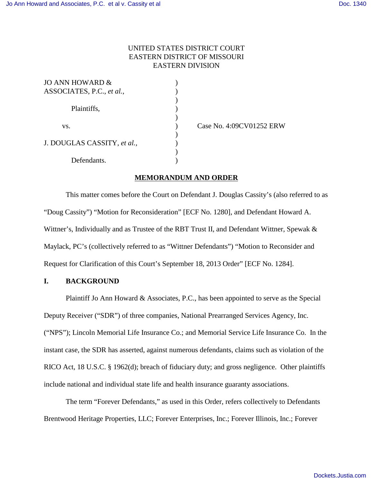## UNITED STATES DISTRICT COURT EASTERN DISTRICT OF MISSOURI EASTERN DIVISION

| JO ANN HOWARD $\&$          |  |
|-----------------------------|--|
| ASSOCIATES, P.C., et al.,   |  |
|                             |  |
| Plaintiffs,                 |  |
|                             |  |
| VS.                         |  |
|                             |  |
| J. DOUGLAS CASSITY, et al., |  |
|                             |  |
| Defendants.                 |  |

) Case No. 4:09CV01252 ERW

## **MEMORANDUM AND ORDER**

This matter comes before the Court on Defendant J. Douglas Cassity's (also referred to as "Doug Cassity") "Motion for Reconsideration" [ECF No. 1280], and Defendant Howard A. Wittner's, Individually and as Trustee of the RBT Trust II, and Defendant Wittner, Spewak & Maylack, PC's (collectively referred to as "Wittner Defendants") "Motion to Reconsider and Request for Clarification of this Court's September 18, 2013 Order" [ECF No. 1284].

## **I. BACKGROUND**

Plaintiff Jo Ann Howard & Associates, P.C., has been appointed to serve as the Special Deputy Receiver ("SDR") of three companies, National Prearranged Services Agency, Inc. ("NPS"); Lincoln Memorial Life Insurance Co.; and Memorial Service Life Insurance Co. In the instant case, the SDR has asserted, against numerous defendants, claims such as violation of the RICO Act, 18 U.S.C. § 1962(d); breach of fiduciary duty; and gross negligence. Other plaintiffs include national and individual state life and health insurance guaranty associations.

The term "Forever Defendants," as used in this Order, refers collectively to Defendants Brentwood Heritage Properties, LLC; Forever Enterprises, Inc.; Forever Illinois, Inc.; Forever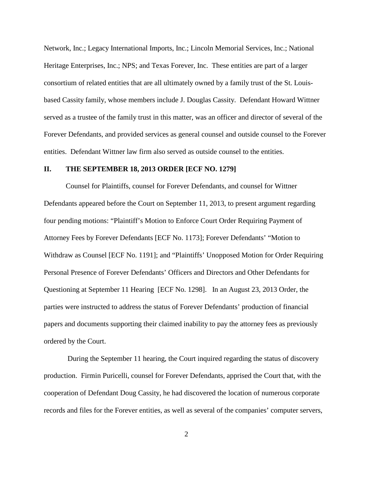Network, Inc.; Legacy International Imports, Inc.; Lincoln Memorial Services, Inc.; National Heritage Enterprises, Inc.; NPS; and Texas Forever, Inc. These entities are part of a larger consortium of related entities that are all ultimately owned by a family trust of the St. Louisbased Cassity family, whose members include J. Douglas Cassity. Defendant Howard Wittner served as a trustee of the family trust in this matter, was an officer and director of several of the Forever Defendants, and provided services as general counsel and outside counsel to the Forever entities. Defendant Wittner law firm also served as outside counsel to the entities.

#### **II. THE SEPTEMBER 18, 2013 ORDER [ECF NO. 1279]**

Counsel for Plaintiffs, counsel for Forever Defendants, and counsel for Wittner Defendants appeared before the Court on September 11, 2013, to present argument regarding four pending motions: "Plaintiff's Motion to Enforce Court Order Requiring Payment of Attorney Fees by Forever Defendants [ECF No. 1173]; Forever Defendants' "Motion to Withdraw as Counsel [ECF No. 1191]; and "Plaintiffs' Unopposed Motion for Order Requiring Personal Presence of Forever Defendants' Officers and Directors and Other Defendants for Questioning at September 11 Hearing [ECF No. 1298]. In an August 23, 2013 Order, the parties were instructed to address the status of Forever Defendants' production of financial papers and documents supporting their claimed inability to pay the attorney fees as previously ordered by the Court.

During the September 11 hearing, the Court inquired regarding the status of discovery production. Firmin Puricelli, counsel for Forever Defendants, apprised the Court that, with the cooperation of Defendant Doug Cassity, he had discovered the location of numerous corporate records and files for the Forever entities, as well as several of the companies' computer servers,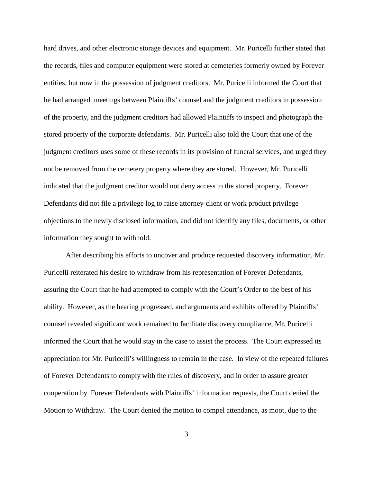hard drives, and other electronic storage devices and equipment. Mr. Puricelli further stated that the records, files and computer equipment were stored at cemeteries formerly owned by Forever entities, but now in the possession of judgment creditors. Mr. Puricelli informed the Court that he had arranged meetings between Plaintiffs' counsel and the judgment creditors in possession of the property, and the judgment creditors had allowed Plaintiffs to inspect and photograph the stored property of the corporate defendants. Mr. Puricelli also told the Court that one of the judgment creditors uses some of these records in its provision of funeral services, and urged they not be removed from the cemetery property where they are stored. However, Mr. Puricelli indicated that the judgment creditor would not deny access to the stored property. Forever Defendants did not file a privilege log to raise attorney-client or work product privilege objections to the newly disclosed information, and did not identify any files, documents, or other information they sought to withhold.

After describing his efforts to uncover and produce requested discovery information, Mr. Puricelli reiterated his desire to withdraw from his representation of Forever Defendants, assuring the Court that he had attempted to comply with the Court's Order to the best of his ability. However, as the hearing progressed, and arguments and exhibits offered by Plaintiffs' counsel revealed significant work remained to facilitate discovery compliance, Mr. Puricelli informed the Court that he would stay in the case to assist the process. The Court expressed its appreciation for Mr. Puricelli's willingness to remain in the case. In view of the repeated failures of Forever Defendants to comply with the rules of discovery, and in order to assure greater cooperation by Forever Defendants with Plaintiffs' information requests, the Court denied the Motion to Withdraw. The Court denied the motion to compel attendance, as moot, due to the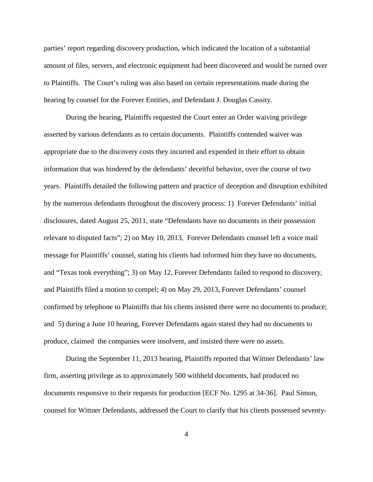parties' report regarding discovery production, which indicated the location of a substantial amount of files, servers, and electronic equipment had been discovered and would be turned over to Plaintiffs. The Court's ruling was also based on certain representations made during the hearing by counsel for the Forever Entities, and Defendant J. Douglas Cassity.

During the hearing, Plaintiffs requested the Court enter an Order waiving privilege asserted by various defendants as to certain documents. Plaintiffs contended waiver was appropriate due to the discovery costs they incurred and expended in their effort to obtain information that was hindered by the defendants' deceitful behavior, over the course of two years. Plaintiffs detailed the following pattern and practice of deception and disruption exhibited by the numerous defendants throughout the discovery process: 1) Forever Defendants' initial disclosures, dated August 25, 2011, state "Defendants have no documents in their possession relevant to disputed facts"; 2) on May 10, 2013, Forever Defendants counsel left a voice mail message for Plaintiffs' counsel, stating his clients had informed him they have no documents, and "Texas took everything"; 3) on May 12, Forever Defendants failed to respond to discovery, and Plaintiffs filed a motion to compel; 4) on May 29, 2013, Forever Defendants' counsel confirmed by telephone to Plaintiffs that his clients insisted there were no documents to produce; and 5) during a June 10 hearing, Forever Defendants again stated they had no documents to produce, claimed the companies were insolvent, and insisted there were no assets.

During the September 11, 2013 hearing, Plaintiffs reported that Wittner Defendants' law firm, asserting privilege as to approximately 500 withheld documents, had produced no documents responsive to their requests for production [ECF No. 1295 at 34-36]. Paul Simon, counsel for Wittner Defendants, addressed the Court to clarify that his clients possessed seventy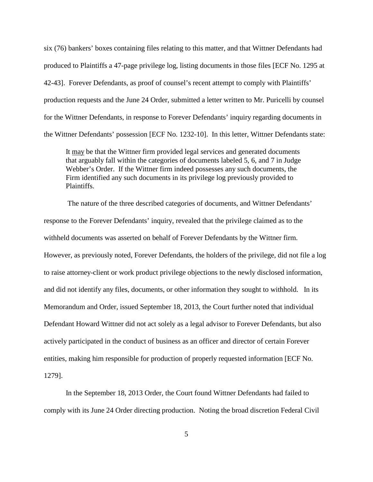six (76) bankers' boxes containing files relating to this matter, and that Wittner Defendants had produced to Plaintiffs a 47-page privilege log, listing documents in those files [ECF No. 1295 at 42-43]. Forever Defendants, as proof of counsel's recent attempt to comply with Plaintiffs' production requests and the June 24 Order, submitted a letter written to Mr. Puricelli by counsel for the Wittner Defendants, in response to Forever Defendants' inquiry regarding documents in the Wittner Defendants' possession [ECF No. 1232-10]. In this letter, Wittner Defendants state:

It may be that the Wittner firm provided legal services and generated documents that arguably fall within the categories of documents labeled 5, 6, and 7 in Judge Webber's Order. If the Wittner firm indeed possesses any such documents, the Firm identified any such documents in its privilege log previously provided to Plaintiffs.

 The nature of the three described categories of documents, and Wittner Defendants' response to the Forever Defendants' inquiry, revealed that the privilege claimed as to the withheld documents was asserted on behalf of Forever Defendants by the Wittner firm. However, as previously noted, Forever Defendants, the holders of the privilege, did not file a log to raise attorney-client or work product privilege objections to the newly disclosed information, and did not identify any files, documents, or other information they sought to withhold. In its Memorandum and Order, issued September 18, 2013, the Court further noted that individual Defendant Howard Wittner did not act solely as a legal advisor to Forever Defendants, but also actively participated in the conduct of business as an officer and director of certain Forever entities, making him responsible for production of properly requested information [ECF No. 1279].

In the September 18, 2013 Order, the Court found Wittner Defendants had failed to comply with its June 24 Order directing production. Noting the broad discretion Federal Civil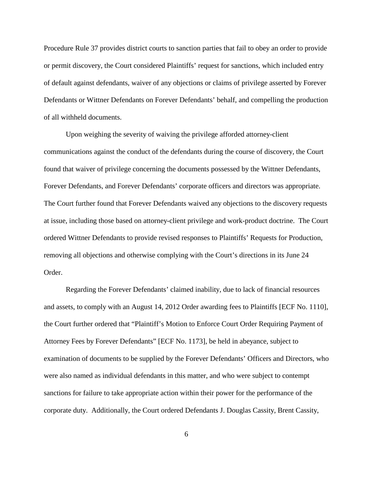Procedure Rule 37 provides district courts to sanction parties that fail to obey an order to provide or permit discovery, the Court considered Plaintiffs' request for sanctions, which included entry of default against defendants, waiver of any objections or claims of privilege asserted by Forever Defendants or Wittner Defendants on Forever Defendants' behalf, and compelling the production of all withheld documents.

Upon weighing the severity of waiving the privilege afforded attorney-client communications against the conduct of the defendants during the course of discovery, the Court found that waiver of privilege concerning the documents possessed by the Wittner Defendants, Forever Defendants, and Forever Defendants' corporate officers and directors was appropriate. The Court further found that Forever Defendants waived any objections to the discovery requests at issue, including those based on attorney-client privilege and work-product doctrine. The Court ordered Wittner Defendants to provide revised responses to Plaintiffs' Requests for Production, removing all objections and otherwise complying with the Court's directions in its June 24 Order.

Regarding the Forever Defendants' claimed inability, due to lack of financial resources and assets, to comply with an August 14, 2012 Order awarding fees to Plaintiffs [ECF No. 1110], the Court further ordered that "Plaintiff's Motion to Enforce Court Order Requiring Payment of Attorney Fees by Forever Defendants" [ECF No. 1173], be held in abeyance, subject to examination of documents to be supplied by the Forever Defendants' Officers and Directors, who were also named as individual defendants in this matter, and who were subject to contempt sanctions for failure to take appropriate action within their power for the performance of the corporate duty. Additionally, the Court ordered Defendants J. Douglas Cassity, Brent Cassity,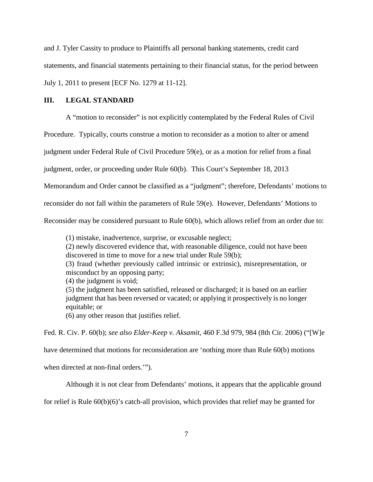and J. Tyler Cassity to produce to Plaintiffs all personal banking statements, credit card statements, and financial statements pertaining to their financial status, for the period between July 1, 2011 to present [ECF No. 1279 at 11-12].

## **III. LEGAL STANDARD**

A "motion to reconsider" is not explicitly contemplated by the Federal Rules of Civil

Procedure. Typically, courts construe a motion to reconsider as a motion to alter or amend

judgment under Federal Rule of Civil Procedure 59(e), or as a motion for relief from a final

judgment, order, or proceeding under Rule 60(b). This Court's September 18, 2013

Memorandum and Order cannot be classified as a "judgment"; therefore, Defendants' motions to

reconsider do not fall within the parameters of Rule 59(e). However, Defendants' Motions to

Reconsider may be considered pursuant to Rule 60(b), which allows relief from an order due to:

(1) mistake, inadvertence, surprise, or excusable neglect;

(2) newly discovered evidence that, with reasonable diligence, could not have been discovered in time to move for a new trial under Rule 59(b);

(3) fraud (whether previously called intrinsic or extrinsic), misrepresentation, or misconduct by an opposing party;

(4) the judgment is void;

(5) the judgment has been satisfied, released or discharged; it is based on an earlier judgment that has been reversed or vacated; or applying it prospectively is no longer equitable; or

(6) any other reason that justifies relief.

Fed. R. Civ. P. 60(b); *see also Elder-Keep v. Aksamit*, 460 F.3d 979, 984 (8th Cir. 2006) ("[W]e

have determined that motions for reconsideration are 'nothing more than Rule 60(b) motions

when directed at non-final orders.'").

Although it is not clear from Defendants' motions, it appears that the applicable ground

for relief is Rule 60(b)(6)'s catch-all provision, which provides that relief may be granted for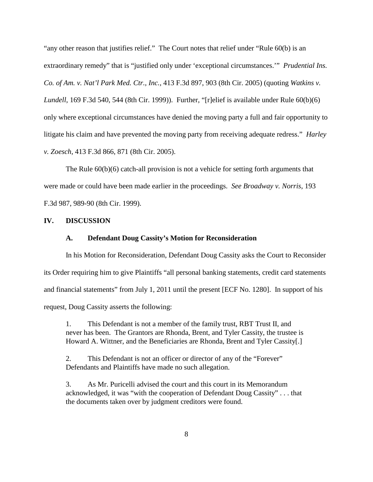"any other reason that justifies relief." The Court notes that relief under "Rule 60(b) is an extraordinary remedy" that is "justified only under 'exceptional circumstances.'" *Prudential Ins. Co. of Am. v. Nat'l Park Med. Ctr., Inc.,* 413 F.3d 897, 903 (8th Cir. 2005) (quoting *Watkins v. Lundell*, 169 F.3d 540, 544 (8th Cir. 1999)). Further, "[r]elief is available under Rule 60(b)(6) only where exceptional circumstances have denied the moving party a full and fair opportunity to litigate his claim and have prevented the moving party from receiving adequate redress." *Harley v. Zoesch*, 413 F.3d 866, 871 (8th Cir. 2005).

The Rule  $60(b)(6)$  catch-all provision is not a vehicle for setting forth arguments that were made or could have been made earlier in the proceedings. *See Broadway v. Norris*, 193 F.3d 987, 989-90 (8th Cir. 1999).

## **IV. DISCUSSION**

#### **A. Defendant Doug Cassity's Motion for Reconsideration**

In his Motion for Reconsideration, Defendant Doug Cassity asks the Court to Reconsider its Order requiring him to give Plaintiffs "all personal banking statements, credit card statements and financial statements" from July 1, 2011 until the present [ECF No. 1280]. In support of his request, Doug Cassity asserts the following:

1. This Defendant is not a member of the family trust, RBT Trust II, and never has been. The Grantors are Rhonda, Brent, and Tyler Cassity, the trustee is Howard A. Wittner, and the Beneficiaries are Rhonda, Brent and Tyler Cassity[.]

2. This Defendant is not an officer or director of any of the "Forever" Defendants and Plaintiffs have made no such allegation.

3. As Mr. Puricelli advised the court and this court in its Memorandum acknowledged, it was "with the cooperation of Defendant Doug Cassity" . . . that the documents taken over by judgment creditors were found.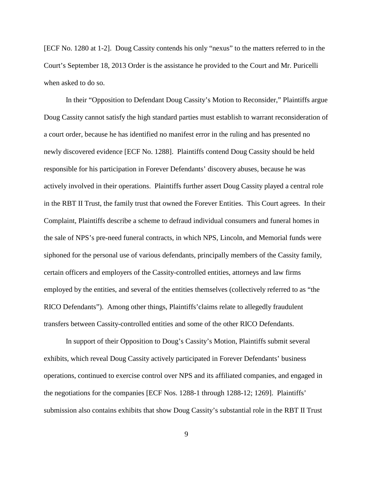[ECF No. 1280 at 1-2]. Doug Cassity contends his only "nexus" to the matters referred to in the Court's September 18, 2013 Order is the assistance he provided to the Court and Mr. Puricelli when asked to do so.

In their "Opposition to Defendant Doug Cassity's Motion to Reconsider," Plaintiffs argue Doug Cassity cannot satisfy the high standard parties must establish to warrant reconsideration of a court order, because he has identified no manifest error in the ruling and has presented no newly discovered evidence [ECF No. 1288]. Plaintiffs contend Doug Cassity should be held responsible for his participation in Forever Defendants' discovery abuses, because he was actively involved in their operations. Plaintiffs further assert Doug Cassity played a central role in the RBT II Trust, the family trust that owned the Forever Entities. This Court agrees. In their Complaint, Plaintiffs describe a scheme to defraud individual consumers and funeral homes in the sale of NPS's pre-need funeral contracts, in which NPS, Lincoln, and Memorial funds were siphoned for the personal use of various defendants, principally members of the Cassity family, certain officers and employers of the Cassity-controlled entities, attorneys and law firms employed by the entities, and several of the entities themselves (collectively referred to as "the RICO Defendants"). Among other things, Plaintiffs'claims relate to allegedly fraudulent transfers between Cassity-controlled entities and some of the other RICO Defendants.

In support of their Opposition to Doug's Cassity's Motion, Plaintiffs submit several exhibits, which reveal Doug Cassity actively participated in Forever Defendants' business operations, continued to exercise control over NPS and its affiliated companies, and engaged in the negotiations for the companies [ECF Nos. 1288-1 through 1288-12; 1269]. Plaintiffs' submission also contains exhibits that show Doug Cassity's substantial role in the RBT II Trust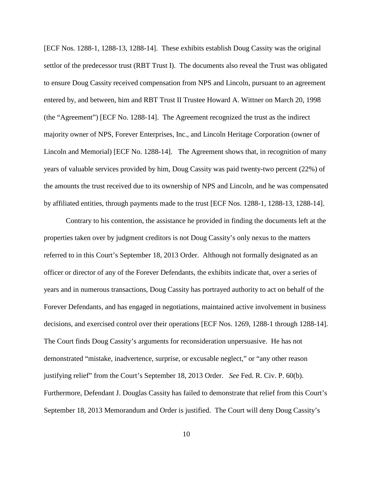[ECF Nos. 1288-1, 1288-13, 1288-14]. These exhibits establish Doug Cassity was the original settlor of the predecessor trust (RBT Trust I). The documents also reveal the Trust was obligated to ensure Doug Cassity received compensation from NPS and Lincoln, pursuant to an agreement entered by, and between, him and RBT Trust II Trustee Howard A. Wittner on March 20, 1998 (the "Agreement") [ECF No. 1288-14]. The Agreement recognized the trust as the indirect majority owner of NPS, Forever Enterprises, Inc., and Lincoln Heritage Corporation (owner of Lincoln and Memorial) [ECF No. 1288-14]. The Agreement shows that, in recognition of many years of valuable services provided by him, Doug Cassity was paid twenty-two percent (22%) of the amounts the trust received due to its ownership of NPS and Lincoln, and he was compensated by affiliated entities, through payments made to the trust [ECF Nos. 1288-1, 1288-13, 1288-14].

Contrary to his contention, the assistance he provided in finding the documents left at the properties taken over by judgment creditors is not Doug Cassity's only nexus to the matters referred to in this Court's September 18, 2013 Order. Although not formally designated as an officer or director of any of the Forever Defendants, the exhibits indicate that, over a series of years and in numerous transactions, Doug Cassity has portrayed authority to act on behalf of the Forever Defendants, and has engaged in negotiations, maintained active involvement in business decisions, and exercised control over their operations [ECF Nos. 1269, 1288-1 through 1288-14]. The Court finds Doug Cassity's arguments for reconsideration unpersuasive. He has not demonstrated "mistake, inadvertence, surprise, or excusable neglect," or "any other reason justifying relief" from the Court's September 18, 2013 Order. *See* Fed. R. Civ. P. 60(b). Furthermore, Defendant J. Douglas Cassity has failed to demonstrate that relief from this Court's September 18, 2013 Memorandum and Order is justified. The Court will deny Doug Cassity's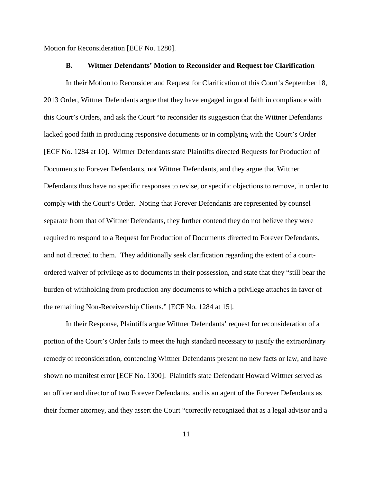Motion for Reconsideration [ECF No. 1280].

#### **B. Wittner Defendants' Motion to Reconsider and Request for Clarification**

In their Motion to Reconsider and Request for Clarification of this Court's September 18, 2013 Order, Wittner Defendants argue that they have engaged in good faith in compliance with this Court's Orders, and ask the Court "to reconsider its suggestion that the Wittner Defendants lacked good faith in producing responsive documents or in complying with the Court's Order [ECF No. 1284 at 10]. Wittner Defendants state Plaintiffs directed Requests for Production of Documents to Forever Defendants, not Wittner Defendants, and they argue that Wittner Defendants thus have no specific responses to revise, or specific objections to remove, in order to comply with the Court's Order. Noting that Forever Defendants are represented by counsel separate from that of Wittner Defendants, they further contend they do not believe they were required to respond to a Request for Production of Documents directed to Forever Defendants, and not directed to them. They additionally seek clarification regarding the extent of a courtordered waiver of privilege as to documents in their possession, and state that they "still bear the burden of withholding from production any documents to which a privilege attaches in favor of the remaining Non-Receivership Clients." [ECF No. 1284 at 15].

In their Response, Plaintiffs argue Wittner Defendants' request for reconsideration of a portion of the Court's Order fails to meet the high standard necessary to justify the extraordinary remedy of reconsideration, contending Wittner Defendants present no new facts or law, and have shown no manifest error [ECF No. 1300]. Plaintiffs state Defendant Howard Wittner served as an officer and director of two Forever Defendants, and is an agent of the Forever Defendants as their former attorney, and they assert the Court "correctly recognized that as a legal advisor and a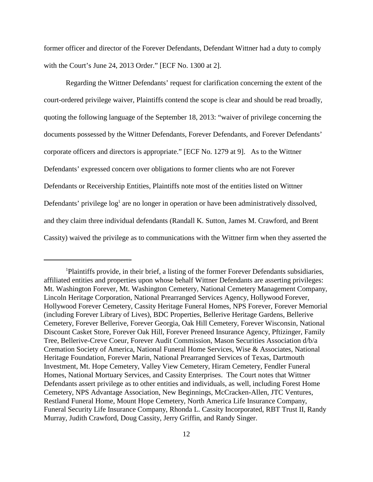former officer and director of the Forever Defendants, Defendant Wittner had a duty to comply with the Court's June 24, 2013 Order." [ECF No. 1300 at 2].

Regarding the Wittner Defendants' request for clarification concerning the extent of the court-ordered privilege waiver, Plaintiffs contend the scope is clear and should be read broadly, quoting the following language of the September 18, 2013: "waiver of privilege concerning the documents possessed by the Wittner Defendants, Forever Defendants, and Forever Defendants' corporate officers and directors is appropriate." [ECF No. 1279 at 9]. As to the Wittner Defendants' expressed concern over obligations to former clients who are not Forever Defendants or Receivership Entities, Plaintiffs note most of the entities listed on Wittner Defendants' privilege log<sup>1</sup> are no longer in operation or have been administratively dissolved, and they claim three individual defendants (Randall K. Sutton, James M. Crawford, and Brent Cassity) waived the privilege as to communications with the Wittner firm when they asserted the

<sup>1</sup>Plaintiffs provide, in their brief, a listing of the former Forever Defendants subsidiaries, affiliated entities and properties upon whose behalf Wittner Defendants are asserting privileges: Mt. Washington Forever, Mt. Washington Cemetery, National Cemetery Management Company, Lincoln Heritage Corporation, National Prearranged Services Agency, Hollywood Forever, Hollywood Forever Cemetery, Cassity Heritage Funeral Homes, NPS Forever, Forever Memorial (including Forever Library of Lives), BDC Properties, Bellerive Heritage Gardens, Bellerive Cemetery, Forever Bellerive, Forever Georgia, Oak Hill Cemetery, Forever Wisconsin, National Discount Casket Store, Forever Oak Hill, Forever Preneed Insurance Agency, Pftizinger, Family Tree, Bellerive-Creve Coeur, Forever Audit Commission, Mason Securities Association d/b/a Cremation Society of America, National Funeral Home Services, Wise & Associates, National Heritage Foundation, Forever Marin, National Prearranged Services of Texas, Dartmouth Investment, Mt. Hope Cemetery, Valley View Cemetery, Hiram Cemetery, Fendler Funeral Homes, National Mortuary Services, and Cassity Enterprises. The Court notes that Wittner Defendants assert privilege as to other entities and individuals, as well, including Forest Home Cemetery, NPS Advantage Association, New Beginnings, McCracken-Allen, JTC Ventures, Restland Funeral Home, Mount Hope Cemetery, North America Life Insurance Company, Funeral Security Life Insurance Company, Rhonda L. Cassity Incorporated, RBT Trust II, Randy Murray, Judith Crawford, Doug Cassity, Jerry Griffin, and Randy Singer.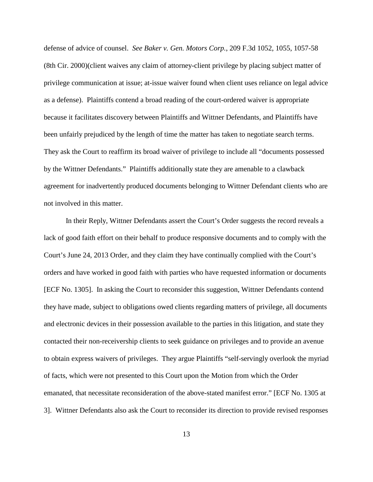defense of advice of counsel. *See Baker v. Gen. Motors Corp.*, 209 F.3d 1052, 1055, 1057-58 (8th Cir. 2000)(client waives any claim of attorney-client privilege by placing subject matter of privilege communication at issue; at-issue waiver found when client uses reliance on legal advice as a defense). Plaintiffs contend a broad reading of the court-ordered waiver is appropriate because it facilitates discovery between Plaintiffs and Wittner Defendants, and Plaintiffs have been unfairly prejudiced by the length of time the matter has taken to negotiate search terms. They ask the Court to reaffirm its broad waiver of privilege to include all "documents possessed by the Wittner Defendants." Plaintiffs additionally state they are amenable to a clawback agreement for inadvertently produced documents belonging to Wittner Defendant clients who are not involved in this matter.

In their Reply, Wittner Defendants assert the Court's Order suggests the record reveals a lack of good faith effort on their behalf to produce responsive documents and to comply with the Court's June 24, 2013 Order, and they claim they have continually complied with the Court's orders and have worked in good faith with parties who have requested information or documents [ECF No. 1305]. In asking the Court to reconsider this suggestion, Wittner Defendants contend they have made, subject to obligations owed clients regarding matters of privilege, all documents and electronic devices in their possession available to the parties in this litigation, and state they contacted their non-receivership clients to seek guidance on privileges and to provide an avenue to obtain express waivers of privileges. They argue Plaintiffs "self-servingly overlook the myriad of facts, which were not presented to this Court upon the Motion from which the Order emanated, that necessitate reconsideration of the above-stated manifest error." [ECF No. 1305 at 3]. Wittner Defendants also ask the Court to reconsider its direction to provide revised responses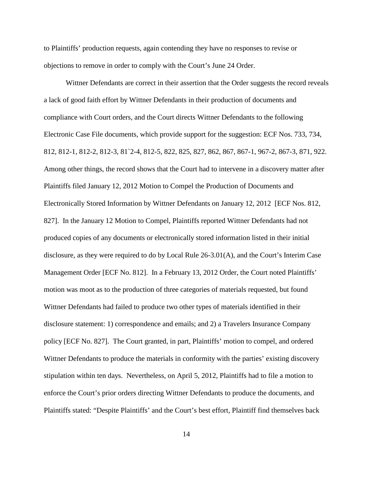to Plaintiffs' production requests, again contending they have no responses to revise or objections to remove in order to comply with the Court's June 24 Order.

Wittner Defendants are correct in their assertion that the Order suggests the record reveals a lack of good faith effort by Wittner Defendants in their production of documents and compliance with Court orders, and the Court directs Wittner Defendants to the following Electronic Case File documents, which provide support for the suggestion: ECF Nos. 733, 734, 812, 812-1, 812-2, 812-3, 81`2-4, 812-5, 822, 825, 827, 862, 867, 867-1, 967-2, 867-3, 871, 922. Among other things, the record shows that the Court had to intervene in a discovery matter after Plaintiffs filed January 12, 2012 Motion to Compel the Production of Documents and Electronically Stored Information by Wittner Defendants on January 12, 2012 [ECF Nos. 812, 827]. In the January 12 Motion to Compel, Plaintiffs reported Wittner Defendants had not produced copies of any documents or electronically stored information listed in their initial disclosure, as they were required to do by Local Rule 26-3.01(A), and the Court's Interim Case Management Order [ECF No. 812]. In a February 13, 2012 Order, the Court noted Plaintiffs' motion was moot as to the production of three categories of materials requested, but found Wittner Defendants had failed to produce two other types of materials identified in their disclosure statement: 1) correspondence and emails; and 2) a Travelers Insurance Company policy [ECF No. 827]. The Court granted, in part, Plaintiffs' motion to compel, and ordered Wittner Defendants to produce the materials in conformity with the parties' existing discovery stipulation within ten days. Nevertheless, on April 5, 2012, Plaintiffs had to file a motion to enforce the Court's prior orders directing Wittner Defendants to produce the documents, and Plaintiffs stated: "Despite Plaintiffs' and the Court's best effort, Plaintiff find themselves back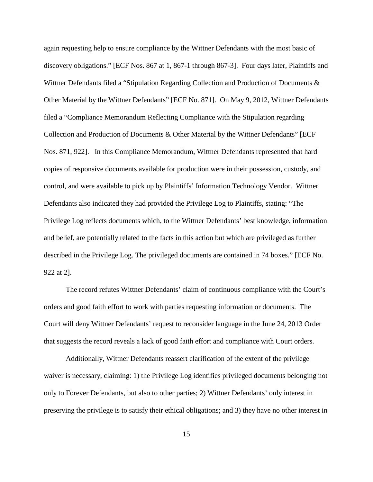again requesting help to ensure compliance by the Wittner Defendants with the most basic of discovery obligations." [ECF Nos. 867 at 1, 867-1 through 867-3]. Four days later, Plaintiffs and Wittner Defendants filed a "Stipulation Regarding Collection and Production of Documents & Other Material by the Wittner Defendants" [ECF No. 871]. On May 9, 2012, Wittner Defendants filed a "Compliance Memorandum Reflecting Compliance with the Stipulation regarding Collection and Production of Documents & Other Material by the Wittner Defendants" [ECF Nos. 871, 922]. In this Compliance Memorandum, Wittner Defendants represented that hard copies of responsive documents available for production were in their possession, custody, and control, and were available to pick up by Plaintiffs' Information Technology Vendor. Wittner Defendants also indicated they had provided the Privilege Log to Plaintiffs, stating: "The Privilege Log reflects documents which, to the Wittner Defendants' best knowledge, information and belief, are potentially related to the facts in this action but which are privileged as further described in the Privilege Log. The privileged documents are contained in 74 boxes." [ECF No. 922 at 2].

The record refutes Wittner Defendants' claim of continuous compliance with the Court's orders and good faith effort to work with parties requesting information or documents. The Court will deny Wittner Defendants' request to reconsider language in the June 24, 2013 Order that suggests the record reveals a lack of good faith effort and compliance with Court orders.

Additionally, Wittner Defendants reassert clarification of the extent of the privilege waiver is necessary, claiming: 1) the Privilege Log identifies privileged documents belonging not only to Forever Defendants, but also to other parties; 2) Wittner Defendants' only interest in preserving the privilege is to satisfy their ethical obligations; and 3) they have no other interest in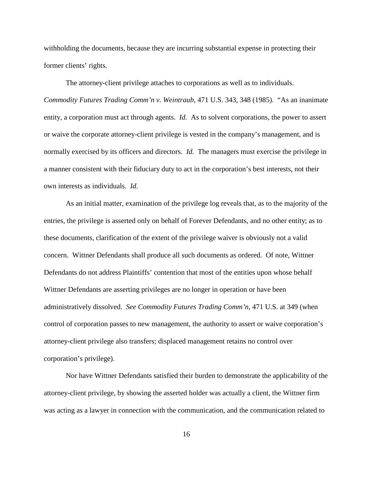withholding the documents, because they are incurring substantial expense in protecting their former clients' rights.

The attorney-client privilege attaches to corporations as well as to individuals. *Commodity Futures Trading Comm'n v. Weintraub*, 471 U.S. 343, 348 (1985). "As an inanimate entity, a corporation must act through agents. *Id.* As to solvent corporations, the power to assert or waive the corporate attorney-client privilege is vested in the company's management, and is normally exercised by its officers and directors. *Id.* The managers must exercise the privilege in a manner consistent with their fiduciary duty to act in the corporation's best interests, not their own interests as individuals. *Id.*

As an initial matter, examination of the privilege log reveals that, as to the majority of the entries, the privilege is asserted only on behalf of Forever Defendants, and no other entity; as to these documents, clarification of the extent of the privilege waiver is obviously not a valid concern. Wittner Defendants shall produce all such documents as ordered. Of note, Wittner Defendants do not address Plaintiffs' contention that most of the entities upon whose behalf Wittner Defendants are asserting privileges are no longer in operation or have been administratively dissolved. *See Commodity Futures Trading Comm'n*, 471 U.S. at 349 (when control of corporation passes to new management, the authority to assert or waive corporation's attorney-client privilege also transfers; displaced management retains no control over corporation's privilege).

Nor have Wittner Defendants satisfied their burden to demonstrate the applicability of the attorney-client privilege, by showing the asserted holder was actually a client, the Wittner firm was acting as a lawyer in connection with the communication, and the communication related to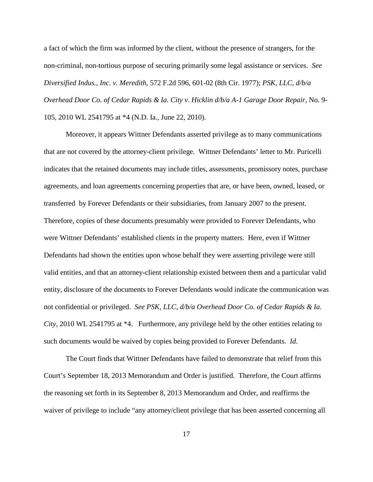a fact of which the firm was informed by the client, without the presence of strangers, for the non-criminal, non-tortious purpose of securing primarily some legal assistance or services. *See Diversified Indus., Inc. v. Meredith*, 572 F.2d 596, 601-02 (8th Cir. 1977); *PSK, LLC, d/b/a Overhead Door Co. of Cedar Rapids & Ia. City v. Hicklin d/b/a A-1 Garage Door Repair*, No. 9- 105, 2010 WL 2541795 at \*4 (N.D. Ia., June 22, 2010).

Moreover, it appears Wittner Defendants asserted privilege as to many communications that are not covered by the attorney-client privilege. Wittner Defendants' letter to Mr. Puricelli indicates that the retained documents may include titles, assessments, promissory notes, purchase agreements, and loan agreements concerning properties that are, or have been, owned, leased, or transferred by Forever Defendants or their subsidiaries, from January 2007 to the present. Therefore, copies of these documents presumably were provided to Forever Defendants, who were Wittner Defendants' established clients in the property matters. Here, even if Wittner Defendants had shown the entities upon whose behalf they were asserting privilege were still valid entities, and that an attorney-client relationship existed between them and a particular valid entity, disclosure of the documents to Forever Defendants would indicate the communication was not confidential or privileged. *See PSK, LLC, d/b/a Overhead Door Co. of Cedar Rapids & Ia. City*, 2010 WL 2541795 at \*4. Furthermore, any privilege held by the other entities relating to such documents would be waived by copies being provided to Forever Defendants. *Id*.

The Court finds that Wittner Defendants have failed to demonstrate that relief from this Court's September 18, 2013 Memorandum and Order is justified. Therefore, the Court affirms the reasoning set forth in its September 8, 2013 Memorandum and Order, and reaffirms the waiver of privilege to include "any attorney/client privilege that has been asserted concerning all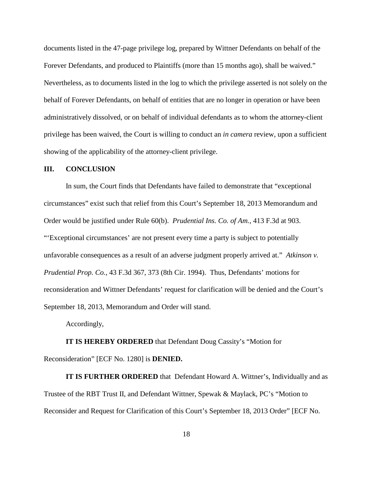documents listed in the 47-page privilege log, prepared by Wittner Defendants on behalf of the Forever Defendants, and produced to Plaintiffs (more than 15 months ago), shall be waived." Nevertheless, as to documents listed in the log to which the privilege asserted is not solely on the behalf of Forever Defendants, on behalf of entities that are no longer in operation or have been administratively dissolved, or on behalf of individual defendants as to whom the attorney-client privilege has been waived, the Court is willing to conduct an *in camera* review, upon a sufficient showing of the applicability of the attorney-client privilege.

#### **III. CONCLUSION**

In sum, the Court finds that Defendants have failed to demonstrate that "exceptional circumstances" exist such that relief from this Court's September 18, 2013 Memorandum and Order would be justified under Rule 60(b). *Prudential Ins. Co. of Am.,* 413 F.3d at 903. "'Exceptional circumstances' are not present every time a party is subject to potentially unfavorable consequences as a result of an adverse judgment properly arrived at." *Atkinson v. Prudential Prop. Co.*, 43 F.3d 367, 373 (8th Cir. 1994). Thus, Defendants' motions for reconsideration and Wittner Defendants' request for clarification will be denied and the Court's September 18, 2013, Memorandum and Order will stand.

Accordingly,

**IT IS HEREBY ORDERED** that Defendant Doug Cassity's "Motion for Reconsideration" [ECF No. 1280] is **DENIED.**

**IT IS FURTHER ORDERED** that Defendant Howard A. Wittner's, Individually and as Trustee of the RBT Trust II, and Defendant Wittner, Spewak & Maylack, PC's "Motion to Reconsider and Request for Clarification of this Court's September 18, 2013 Order" [ECF No.